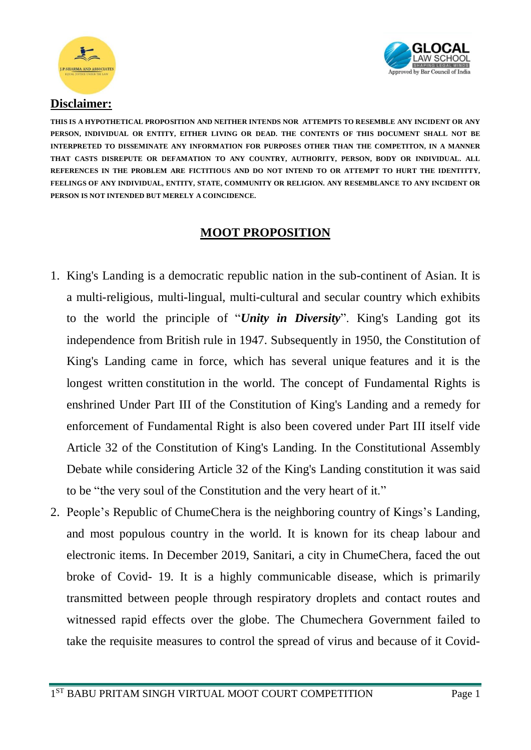



#### **Disclaimer:**

**THIS IS A HYPOTHETICAL PROPOSITION AND NEITHER INTENDS NOR ATTEMPTS TO RESEMBLE ANY INCIDENT OR ANY PERSON, INDIVIDUAL OR ENTITY, EITHER LIVING OR DEAD. THE CONTENTS OF THIS DOCUMENT SHALL NOT BE INTERPRETED TO DISSEMINATE ANY INFORMATION FOR PURPOSES OTHER THAN THE COMPETITON, IN A MANNER THAT CASTS DISREPUTE OR DEFAMATION TO ANY COUNTRY, AUTHORITY, PERSON, BODY OR INDIVIDUAL. ALL REFERENCES IN THE PROBLEM ARE FICTITIOUS AND DO NOT INTEND TO OR ATTEMPT TO HURT THE IDENTITTY, FEELINGS OF ANY INDIVIDUAL, ENTITY, STATE, COMMUNITY OR RELIGION. ANY RESEMBLANCE TO ANY INCIDENT OR PERSON IS NOT INTENDED BUT MERELY A COINCIDENCE.**

# **MOOT PROPOSITION**

- 1. King's Landing is a democratic republic nation in the sub-continent of Asian. It is a multi-religious, multi-lingual, multi-cultural and secular country which exhibits to the world the principle of "*Unity in Diversity*". King's Landing got its independence from British rule in 1947. Subsequently in 1950, the Constitution of King's Landing came in force, which has several unique features and it is the longest written constitution in the world. The concept of Fundamental Rights is enshrined Under Part III of the Constitution of King's Landing and a remedy for enforcement of Fundamental Right is also been covered under Part III itself vide Article 32 of the Constitution of King's Landing. In the Constitutional Assembly Debate while considering Article 32 of the King's Landing constitution it was said to be "the very soul of the Constitution and the very heart of it."
- 2. People's Republic of ChumeChera is the neighboring country of Kings's Landing, and most populous country in the world. It is known for its cheap labour and electronic items. In December 2019, Sanitari, a city in ChumeChera, faced the out broke of Covid- 19. It is a highly communicable disease, which is primarily transmitted between people through respiratory droplets and contact routes and witnessed rapid effects over the globe. The Chumechera Government failed to take the requisite measures to control the spread of virus and because of it Covid-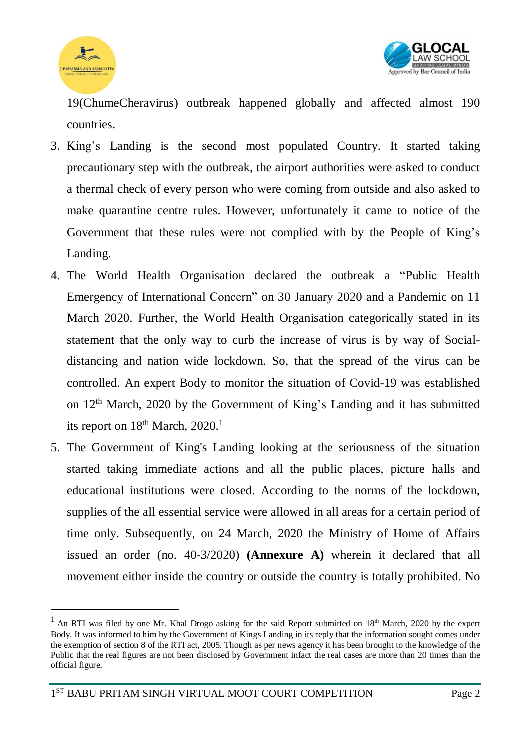

1



19(ChumeCheravirus) outbreak happened globally and affected almost 190 countries.

- 3. King's Landing is the second most populated Country. It started taking precautionary step with the outbreak, the airport authorities were asked to conduct a thermal check of every person who were coming from outside and also asked to make quarantine centre rules. However, unfortunately it came to notice of the Government that these rules were not complied with by the People of King's Landing.
- 4. The World Health Organisation declared the outbreak a "Public Health Emergency of International Concern" on 30 January 2020 and a Pandemic on 11 March 2020. Further, the World Health Organisation categorically stated in its statement that the only way to curb the increase of virus is by way of Socialdistancing and nation wide lockdown. So, that the spread of the virus can be controlled. An expert Body to monitor the situation of Covid-19 was established on 12th March, 2020 by the Government of King's Landing and it has submitted its report on  $18<sup>th</sup>$  March,  $2020.<sup>1</sup>$
- 5. The Government of King's Landing looking at the seriousness of the situation started taking immediate actions and all the public places, picture halls and educational institutions were closed. According to the norms of the lockdown, supplies of the all essential service were allowed in all areas for a certain period of time only. Subsequently, on 24 March, 2020 the Ministry of Home of Affairs issued an order (no. 40-3/2020) **(Annexure A)** wherein it declared that all movement either inside the country or outside the country is totally prohibited. No

<sup>&</sup>lt;sup>1</sup> An RTI was filed by one Mr. Khal Drogo asking for the said Report submitted on  $18<sup>th</sup>$  March, 2020 by the expert Body. It was informed to him by the Government of Kings Landing in its reply that the information sought comes under the exemption of section 8 of the RTI act, 2005. Though as per news agency it has been brought to the knowledge of the Public that the real figures are not been disclosed by Government infact the real cases are more than 20 times than the official figure.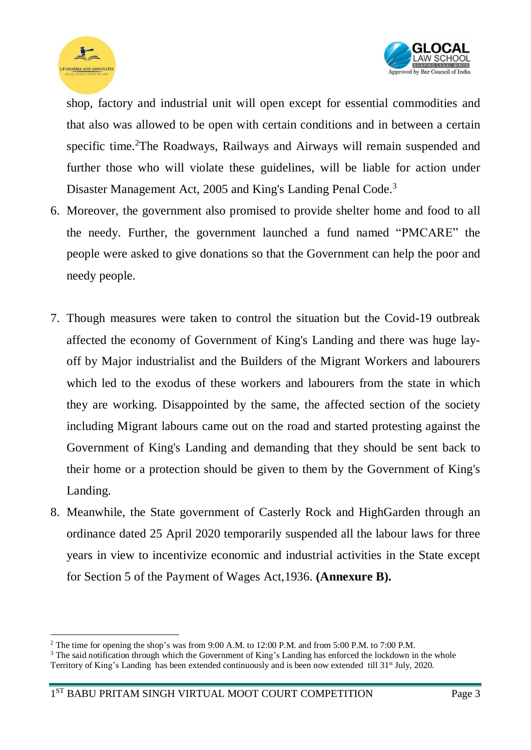

<u>.</u>



shop, factory and industrial unit will open except for essential commodities and that also was allowed to be open with certain conditions and in between a certain specific time.<sup>2</sup>The Roadways, Railways and Airways will remain suspended and further those who will violate these guidelines, will be liable for action under Disaster Management Act, 2005 and King's Landing Penal Code.<sup>3</sup>

- 6. Moreover, the government also promised to provide shelter home and food to all the needy. Further, the government launched a fund named "PMCARE" the people were asked to give donations so that the Government can help the poor and needy people.
- 7. Though measures were taken to control the situation but the Covid-19 outbreak affected the economy of Government of King's Landing and there was huge layoff by Major industrialist and the Builders of the Migrant Workers and labourers which led to the exodus of these workers and labourers from the state in which they are working. Disappointed by the same, the affected section of the society including Migrant labours came out on the road and started protesting against the Government of King's Landing and demanding that they should be sent back to their home or a protection should be given to them by the Government of King's Landing.
- 8. Meanwhile, the State government of Casterly Rock and HighGarden through an ordinance dated 25 April 2020 temporarily suspended all the labour laws for three years in view to incentivize economic and industrial activities in the State except for Section 5 of the Payment of Wages Act,1936. **(Annexure B).**

<sup>&</sup>lt;sup>2</sup> The time for opening the shop's was from 9:00 A.M. to 12:00 P.M. and from 5:00 P.M. to 7:00 P.M.

<sup>&</sup>lt;sup>3</sup> The said notification through which the Government of King's Landing has enforced the lockdown in the whole Territory of King's Landing has been extended continuously and is been now extended till 31<sup>st</sup> July, 2020.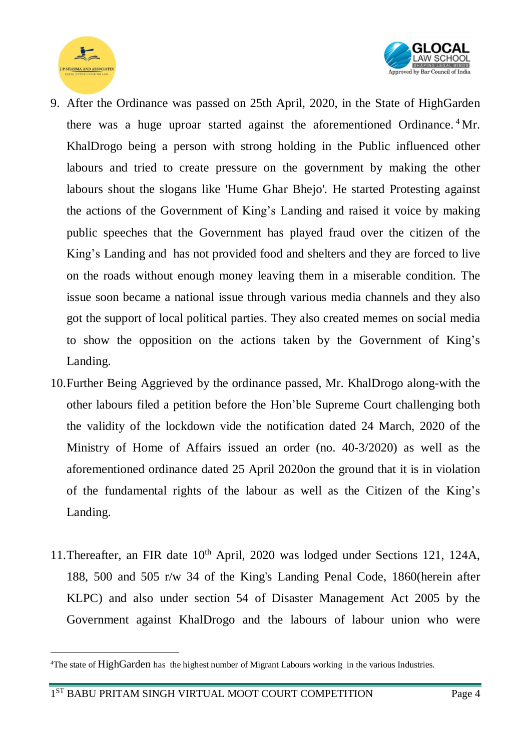

<u>.</u>



- 9. After the Ordinance was passed on 25th April, 2020, in the State of HighGarden there was a huge uproar started against the aforementioned Ordinance.<sup>4</sup>Mr. KhalDrogo being a person with strong holding in the Public influenced other labours and tried to create pressure on the government by making the other labours shout the slogans like 'Hume Ghar Bhejo'. He started Protesting against the actions of the Government of King's Landing and raised it voice by making public speeches that the Government has played fraud over the citizen of the King's Landing and has not provided food and shelters and they are forced to live on the roads without enough money leaving them in a miserable condition. The issue soon became a national issue through various media channels and they also got the support of local political parties. They also created memes on social media to show the opposition on the actions taken by the Government of King's Landing.
- 10.Further Being Aggrieved by the ordinance passed, Mr. KhalDrogo along-with the other labours filed a petition before the Hon'ble Supreme Court challenging both the validity of the lockdown vide the notification dated 24 March, 2020 of the Ministry of Home of Affairs issued an order (no. 40-3/2020) as well as the aforementioned ordinance dated 25 April 2020on the ground that it is in violation of the fundamental rights of the labour as well as the Citizen of the King's Landing.
- 11. Thereafter, an FIR date  $10<sup>th</sup>$  April, 2020 was lodged under Sections 121, 124A, 188, 500 and 505 r/w 34 of the King's Landing Penal Code, 1860(herein after KLPC) and also under section 54 of Disaster Management Act 2005 by the Government against KhalDrogo and the labours of labour union who were

<sup>4</sup>The state of HighGarden has the highest number of Migrant Labours working in the various Industries.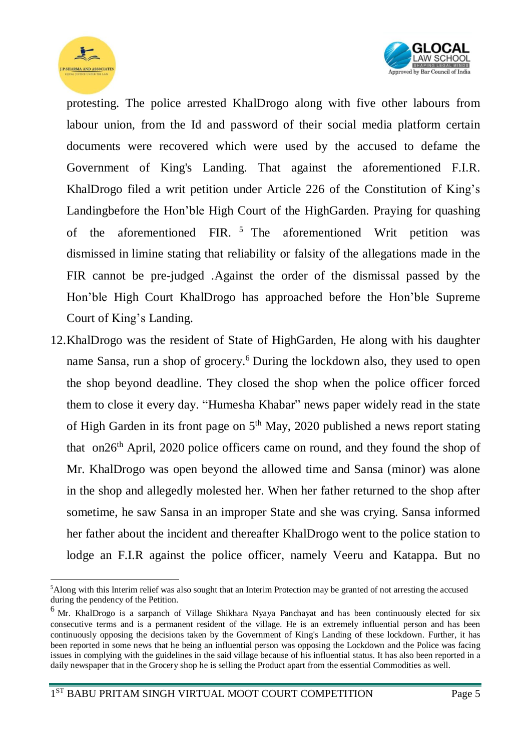

<u>.</u>



protesting. The police arrested KhalDrogo along with five other labours from labour union, from the Id and password of their social media platform certain documents were recovered which were used by the accused to defame the Government of King's Landing. That against the aforementioned F.I.R. KhalDrogo filed a writ petition under Article 226 of the Constitution of King's Landingbefore the Hon'ble High Court of the HighGarden. Praying for quashing of the aforementioned FIR. <sup>5</sup> The aforementioned Writ petition was dismissed in limine stating that reliability or falsity of the allegations made in the FIR cannot be pre-judged .Against the order of the dismissal passed by the Hon'ble High Court KhalDrogo has approached before the Hon'ble Supreme Court of King's Landing.

12.KhalDrogo was the resident of State of HighGarden, He along with his daughter name Sansa, run a shop of grocery.<sup>6</sup> During the lockdown also, they used to open the shop beyond deadline. They closed the shop when the police officer forced them to close it every day. "Humesha Khabar" news paper widely read in the state of High Garden in its front page on 5<sup>th</sup> May, 2020 published a news report stating that on26<sup>th</sup> April, 2020 police officers came on round, and they found the shop of Mr. KhalDrogo was open beyond the allowed time and Sansa (minor) was alone in the shop and allegedly molested her. When her father returned to the shop after sometime, he saw Sansa in an improper State and she was crying. Sansa informed her father about the incident and thereafter KhalDrogo went to the police station to lodge an F.I.R against the police officer, namely Veeru and Katappa. But no

<sup>5</sup>Along with this Interim relief was also sought that an Interim Protection may be granted of not arresting the accused during the pendency of the Petition.

<sup>&</sup>lt;sup>6</sup> Mr. KhalDrogo is a sarpanch of Village Shikhara Nyaya Panchayat and has been continuously elected for six consecutive terms and is a permanent resident of the village. He is an extremely influential person and has been continuously opposing the decisions taken by the Government of King's Landing of these lockdown. Further, it has been reported in some news that he being an influential person was opposing the Lockdown and the Police was facing issues in complying with the guidelines in the said village because of his influential status. It has also been reported in a daily newspaper that in the Grocery shop he is selling the Product apart from the essential Commodities as well.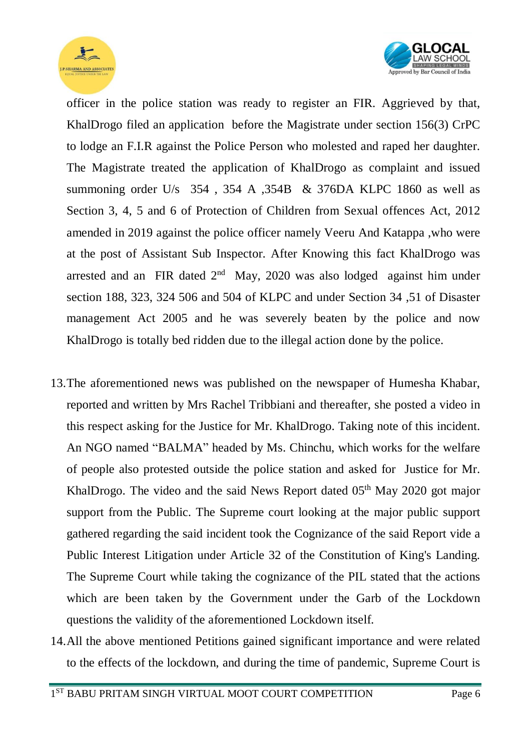



officer in the police station was ready to register an FIR. Aggrieved by that, KhalDrogo filed an application before the Magistrate under section 156(3) CrPC to lodge an F.I.R against the Police Person who molested and raped her daughter. The Magistrate treated the application of KhalDrogo as complaint and issued summoning order U/s 354 , 354 A ,354B & 376DA KLPC 1860 as well as Section 3, 4, 5 and 6 of Protection of Children from Sexual offences Act, 2012 amended in 2019 against the police officer namely Veeru And Katappa ,who were at the post of Assistant Sub Inspector. After Knowing this fact KhalDrogo was arrested and an FIR dated  $2<sup>nd</sup>$  May, 2020 was also lodged against him under section 188, 323, 324 506 and 504 of KLPC and under Section 34 ,51 of Disaster management Act 2005 and he was severely beaten by the police and now KhalDrogo is totally bed ridden due to the illegal action done by the police.

- 13.The aforementioned news was published on the newspaper of Humesha Khabar, reported and written by Mrs Rachel Tribbiani and thereafter, she posted a video in this respect asking for the Justice for Mr. KhalDrogo. Taking note of this incident. An NGO named "BALMA" headed by Ms. Chinchu, which works for the welfare of people also protested outside the police station and asked for Justice for Mr. KhalDrogo. The video and the said News Report dated  $05<sup>th</sup>$  May 2020 got major support from the Public. The Supreme court looking at the major public support gathered regarding the said incident took the Cognizance of the said Report vide a Public Interest Litigation under Article 32 of the Constitution of King's Landing. The Supreme Court while taking the cognizance of the PIL stated that the actions which are been taken by the Government under the Garb of the Lockdown questions the validity of the aforementioned Lockdown itself.
- 14.All the above mentioned Petitions gained significant importance and were related to the effects of the lockdown, and during the time of pandemic, Supreme Court is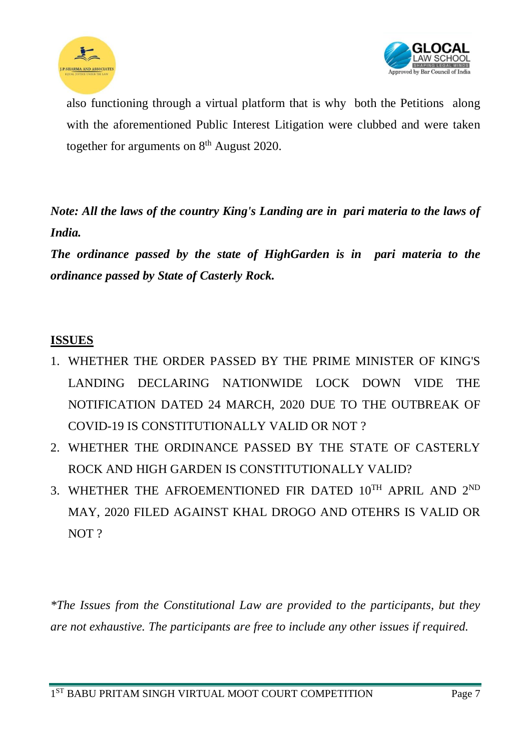



also functioning through a virtual platform that is why both the Petitions along with the aforementioned Public Interest Litigation were clubbed and were taken together for arguments on 8<sup>th</sup> August 2020.

*Note: All the laws of the country King's Landing are in pari materia to the laws of India.*

*The ordinance passed by the state of HighGarden is in pari materia to the ordinance passed by State of Casterly Rock.*

### **ISSUES**

- 1. WHETHER THE ORDER PASSED BY THE PRIME MINISTER OF KING'S LANDING DECLARING NATIONWIDE LOCK DOWN VIDE THE NOTIFICATION DATED 24 MARCH, 2020 DUE TO THE OUTBREAK OF COVID-19 IS CONSTITUTIONALLY VALID OR NOT ?
- 2. WHETHER THE ORDINANCE PASSED BY THE STATE OF CASTERLY ROCK AND HIGH GARDEN IS CONSTITUTIONALLY VALID?
- 3. WHETHER THE AFROEMENTIONED FIR DATED  $10^{TH}$  APRIL AND  $2^{ND}$ MAY, 2020 FILED AGAINST KHAL DROGO AND OTEHRS IS VALID OR NOT?

*\*The Issues from the Constitutional Law are provided to the participants, but they are not exhaustive. The participants are free to include any other issues if required.*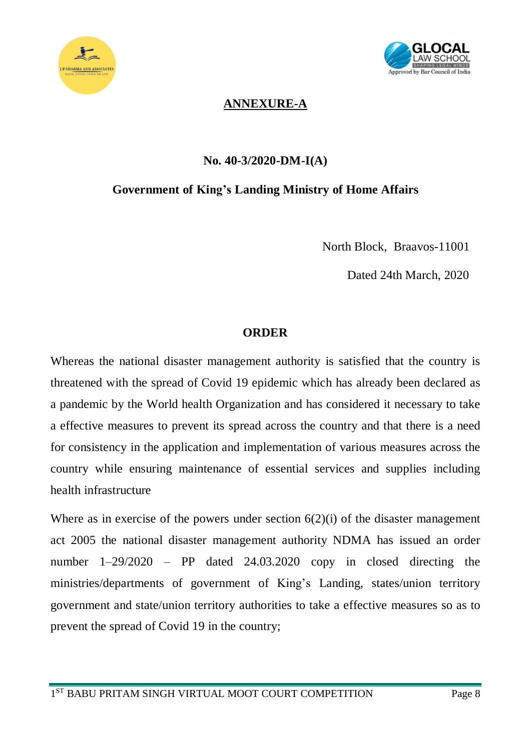



### **ANNEXURE-A**

#### **No. 40-3/2020-DM-I(A)**

### **Government of King's Landing Ministry of Home Affairs**

North Block, Braavos-11001

Dated 24th March, 2020

#### **ORDER**

Whereas the national disaster management authority is satisfied that the country is threatened with the spread of Covid 19 epidemic which has already been declared as a pandemic by the World health Organization and has considered it necessary to take a effective measures to prevent its spread across the country and that there is a need for consistency in the application and implementation of various measures across the country while ensuring maintenance of essential services and supplies including health infrastructure

Where as in exercise of the powers under section  $6(2)(i)$  of the disaster management act 2005 the national disaster management authority NDMA has issued an order number 1–29/2020 – PP dated 24.03.2020 copy in closed directing the ministries/departments of government of King's Landing, states/union territory government and state/union territory authorities to take a effective measures so as to prevent the spread of Covid 19 in the country;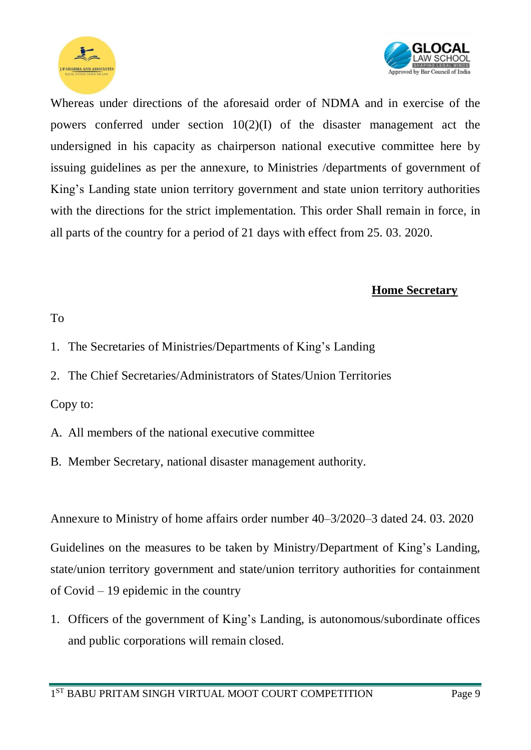



Whereas under directions of the aforesaid order of NDMA and in exercise of the powers conferred under section 10(2)(I) of the disaster management act the undersigned in his capacity as chairperson national executive committee here by issuing guidelines as per the annexure, to Ministries /departments of government of King's Landing state union territory government and state union territory authorities with the directions for the strict implementation. This order Shall remain in force, in all parts of the country for a period of 21 days with effect from 25. 03. 2020.

#### **Home Secretary**

#### To

- 1. The Secretaries of Ministries/Departments of King's Landing
- 2. The Chief Secretaries/Administrators of States/Union Territories

Copy to:

- A. All members of the national executive committee
- B. Member Secretary, national disaster management authority.

Annexure to Ministry of home affairs order number 40–3/2020–3 dated 24. 03. 2020

Guidelines on the measures to be taken by Ministry/Department of King's Landing, state/union territory government and state/union territory authorities for containment of Covid – 19 epidemic in the country

1. Officers of the government of King's Landing, is autonomous/subordinate offices and public corporations will remain closed.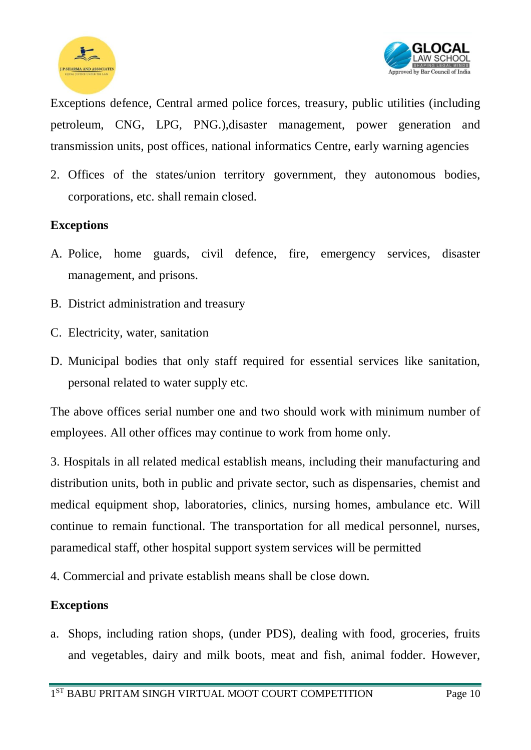



Exceptions defence, Central armed police forces, treasury, public utilities (including petroleum, CNG, LPG, PNG.),disaster management, power generation and transmission units, post offices, national informatics Centre, early warning agencies

2. Offices of the states/union territory government, they autonomous bodies, corporations, etc. shall remain closed.

#### **Exceptions**

- A. Police, home guards, civil defence, fire, emergency services, disaster management, and prisons.
- B. District administration and treasury
- C. Electricity, water, sanitation
- D. Municipal bodies that only staff required for essential services like sanitation, personal related to water supply etc.

The above offices serial number one and two should work with minimum number of employees. All other offices may continue to work from home only.

3. Hospitals in all related medical establish means, including their manufacturing and distribution units, both in public and private sector, such as dispensaries, chemist and medical equipment shop, laboratories, clinics, nursing homes, ambulance etc. Will continue to remain functional. The transportation for all medical personnel, nurses, paramedical staff, other hospital support system services will be permitted

4. Commercial and private establish means shall be close down.

#### **Exceptions**

a. Shops, including ration shops, (under PDS), dealing with food, groceries, fruits and vegetables, dairy and milk boots, meat and fish, animal fodder. However,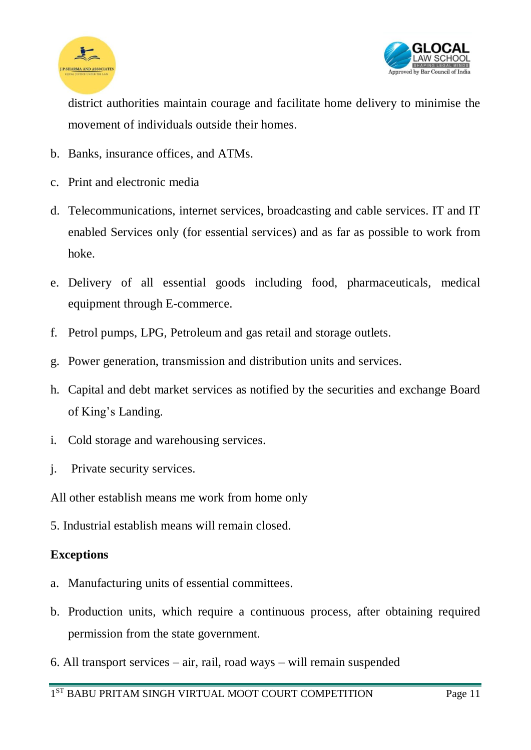



district authorities maintain courage and facilitate home delivery to minimise the movement of individuals outside their homes.

- b. Banks, insurance offices, and ATMs.
- c. Print and electronic media
- d. Telecommunications, internet services, broadcasting and cable services. IT and IT enabled Services only (for essential services) and as far as possible to work from hoke.
- e. Delivery of all essential goods including food, pharmaceuticals, medical equipment through E-commerce.
- f. Petrol pumps, LPG, Petroleum and gas retail and storage outlets.
- g. Power generation, transmission and distribution units and services.
- h. Capital and debt market services as notified by the securities and exchange Board of King's Landing.
- i. Cold storage and warehousing services.
- j. Private security services.

All other establish means me work from home only

5. Industrial establish means will remain closed.

### **Exceptions**

- a. Manufacturing units of essential committees.
- b. Production units, which require a continuous process, after obtaining required permission from the state government.
- 6. All transport services air, rail, road ways will remain suspended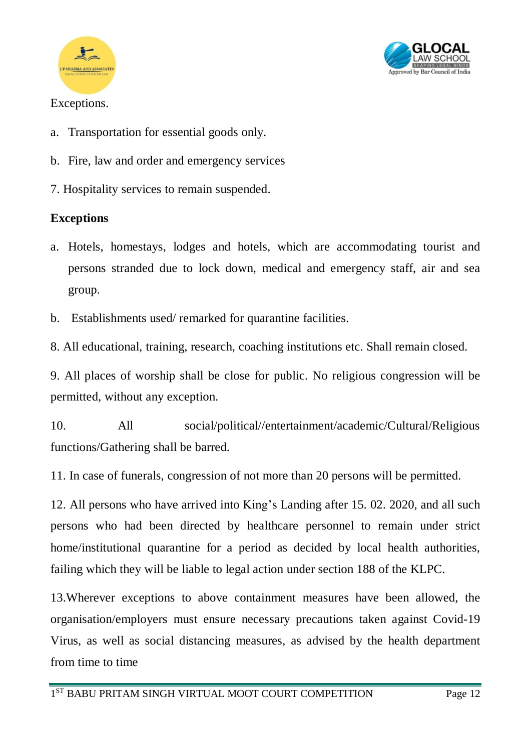



#### Exceptions.

- a. Transportation for essential goods only.
- b. Fire, law and order and emergency services
- 7. Hospitality services to remain suspended.

#### **Exceptions**

- a. Hotels, homestays, lodges and hotels, which are accommodating tourist and persons stranded due to lock down, medical and emergency staff, air and sea group.
- b. Establishments used/ remarked for quarantine facilities.
- 8. All educational, training, research, coaching institutions etc. Shall remain closed.

9. All places of worship shall be close for public. No religious congression will be permitted, without any exception.

10. All social/political//entertainment/academic/Cultural/Religious functions/Gathering shall be barred.

11. In case of funerals, congression of not more than 20 persons will be permitted.

12. All persons who have arrived into King's Landing after 15. 02. 2020, and all such persons who had been directed by healthcare personnel to remain under strict home/institutional quarantine for a period as decided by local health authorities, failing which they will be liable to legal action under section 188 of the KLPC.

13.Wherever exceptions to above containment measures have been allowed, the organisation/employers must ensure necessary precautions taken against Covid-19 Virus, as well as social distancing measures, as advised by the health department from time to time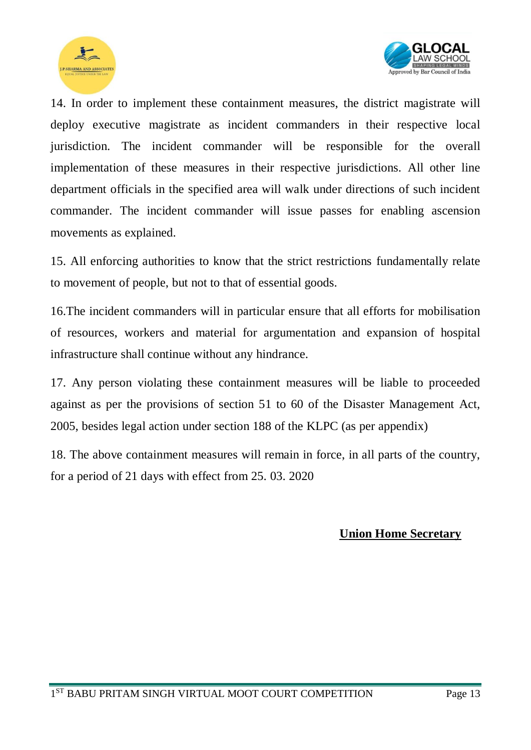



14. In order to implement these containment measures, the district magistrate will deploy executive magistrate as incident commanders in their respective local jurisdiction. The incident commander will be responsible for the overall implementation of these measures in their respective jurisdictions. All other line department officials in the specified area will walk under directions of such incident commander. The incident commander will issue passes for enabling ascension movements as explained.

15. All enforcing authorities to know that the strict restrictions fundamentally relate to movement of people, but not to that of essential goods.

16.The incident commanders will in particular ensure that all efforts for mobilisation of resources, workers and material for argumentation and expansion of hospital infrastructure shall continue without any hindrance.

17. Any person violating these containment measures will be liable to proceeded against as per the provisions of section 51 to 60 of the Disaster Management Act, 2005, besides legal action under section 188 of the KLPC (as per appendix)

18. The above containment measures will remain in force, in all parts of the country, for a period of 21 days with effect from 25. 03. 2020

#### **Union Home Secretary**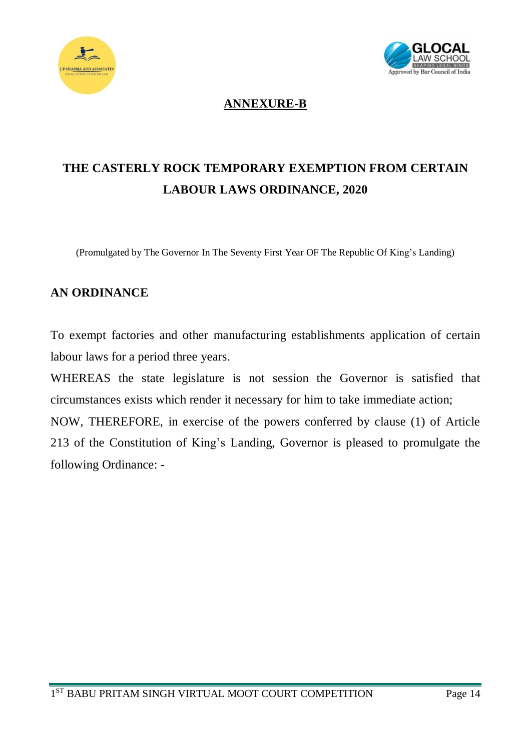



### **ANNEXURE-B**

# **THE CASTERLY ROCK TEMPORARY EXEMPTION FROM CERTAIN LABOUR LAWS ORDINANCE, 2020**

(Promulgated by The Governor In The Seventy First Year OF The Republic Of King's Landing)

#### **AN ORDINANCE**

To exempt factories and other manufacturing establishments application of certain labour laws for a period three years.

WHEREAS the state legislature is not session the Governor is satisfied that circumstances exists which render it necessary for him to take immediate action; NOW, THEREFORE, in exercise of the powers conferred by clause (1) of Article 213 of the Constitution of King's Landing, Governor is pleased to promulgate the following Ordinance: -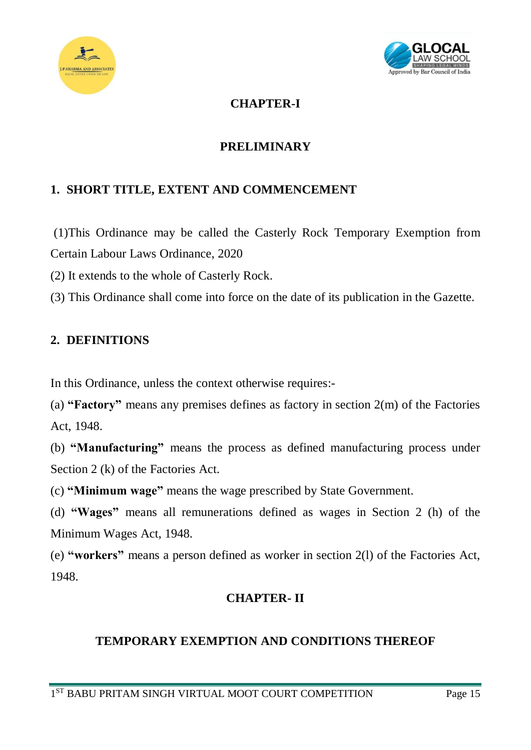



# **CHAPTER-I**

# **PRELIMINARY**

# **1. SHORT TITLE, EXTENT AND COMMENCEMENT**

(1)This Ordinance may be called the Casterly Rock Temporary Exemption from Certain Labour Laws Ordinance, 2020

(2) It extends to the whole of Casterly Rock.

(3) This Ordinance shall come into force on the date of its publication in the Gazette.

# **2. DEFINITIONS**

In this Ordinance, unless the context otherwise requires:-

(a) **"Factory"** means any premises defines as factory in section 2(m) of the Factories Act, 1948.

(b) **"Manufacturing"** means the process as defined manufacturing process under Section 2 (k) of the Factories Act.

(c) **"Minimum wage"** means the wage prescribed by State Government.

(d) **"Wages"** means all remunerations defined as wages in Section 2 (h) of the Minimum Wages Act, 1948.

(e) **"workers"** means a person defined as worker in section 2(l) of the Factories Act, 1948.

# **CHAPTER- II**

# **TEMPORARY EXEMPTION AND CONDITIONS THEREOF**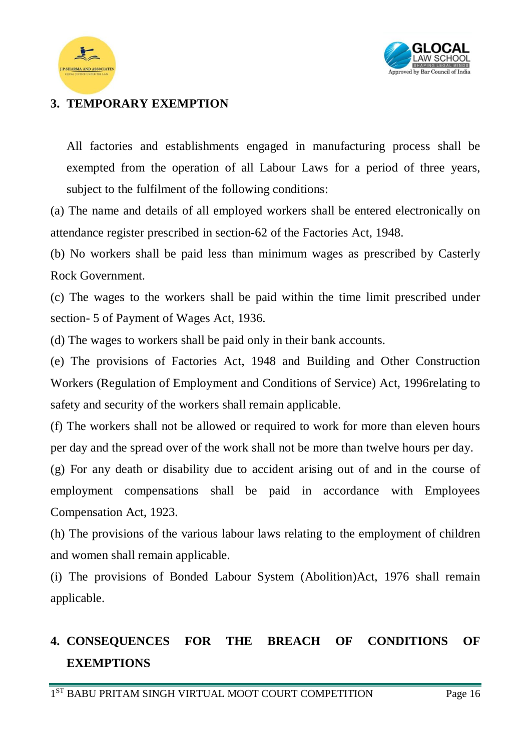



### **3. TEMPORARY EXEMPTION**

All factories and establishments engaged in manufacturing process shall be exempted from the operation of all Labour Laws for a period of three years, subject to the fulfilment of the following conditions:

(a) The name and details of all employed workers shall be entered electronically on attendance register prescribed in section-62 of the Factories Act, 1948.

(b) No workers shall be paid less than minimum wages as prescribed by Casterly Rock Government.

(c) The wages to the workers shall be paid within the time limit prescribed under section- 5 of Payment of Wages Act, 1936.

(d) The wages to workers shall be paid only in their bank accounts.

(e) The provisions of Factories Act, 1948 and Building and Other Construction Workers (Regulation of Employment and Conditions of Service) Act, 1996relating to safety and security of the workers shall remain applicable.

(f) The workers shall not be allowed or required to work for more than eleven hours per day and the spread over of the work shall not be more than twelve hours per day.

(g) For any death or disability due to accident arising out of and in the course of employment compensations shall be paid in accordance with Employees Compensation Act, 1923.

(h) The provisions of the various labour laws relating to the employment of children and women shall remain applicable.

(i) The provisions of Bonded Labour System (Abolition)Act, 1976 shall remain applicable.

# **4. CONSEQUENCES FOR THE BREACH OF CONDITIONS OF EXEMPTIONS**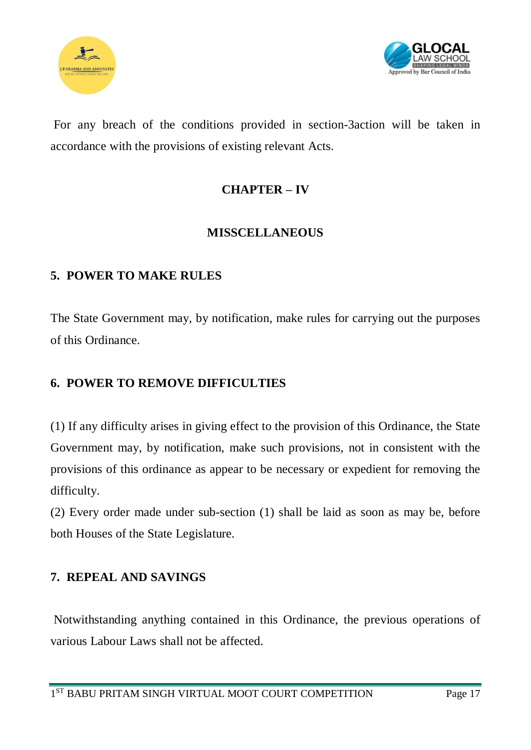



For any breach of the conditions provided in section-3action will be taken in accordance with the provisions of existing relevant Acts.

# **CHAPTER – IV**

# **MISSCELLANEOUS**

### **5. POWER TO MAKE RULES**

The State Government may, by notification, make rules for carrying out the purposes of this Ordinance.

### **6. POWER TO REMOVE DIFFICULTIES**

(1) If any difficulty arises in giving effect to the provision of this Ordinance, the State Government may, by notification, make such provisions, not in consistent with the provisions of this ordinance as appear to be necessary or expedient for removing the difficulty.

(2) Every order made under sub-section (1) shall be laid as soon as may be, before both Houses of the State Legislature.

### **7. REPEAL AND SAVINGS**

Notwithstanding anything contained in this Ordinance, the previous operations of various Labour Laws shall not be affected.